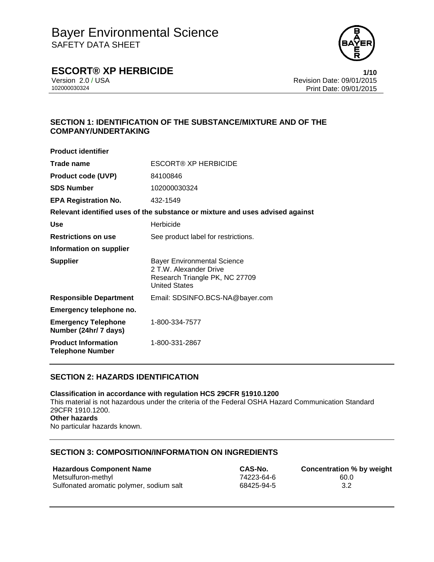

### **ESCORT® XP HERBICIDE 1/10**

Version 2.0 / USA Revision Date: 09/01/2015<br>102000030324<br>Print Date: 09/01/2015 Print Date: 09/01/2015

### **SECTION 1: IDENTIFICATION OF THE SUBSTANCE/MIXTURE AND OF THE COMPANY/UNDERTAKING**

| <b>Product identifier</b>                             |                                                                                                                        |
|-------------------------------------------------------|------------------------------------------------------------------------------------------------------------------------|
| Trade name                                            | <b>ESCORT® XP HERBICIDE</b>                                                                                            |
| <b>Product code (UVP)</b>                             | 84100846                                                                                                               |
| <b>SDS Number</b>                                     | 102000030324                                                                                                           |
| <b>EPA Registration No.</b>                           | 432-1549                                                                                                               |
|                                                       | Relevant identified uses of the substance or mixture and uses advised against                                          |
| <b>Use</b>                                            | Herbicide                                                                                                              |
| <b>Restrictions on use</b>                            | See product label for restrictions.                                                                                    |
| Information on supplier                               |                                                                                                                        |
| <b>Supplier</b>                                       | <b>Bayer Environmental Science</b><br>2 T.W. Alexander Drive<br>Research Triangle PK, NC 27709<br><b>United States</b> |
| <b>Responsible Department</b>                         | Email: SDSINFO.BCS-NA@bayer.com                                                                                        |
| Emergency telephone no.                               |                                                                                                                        |
| <b>Emergency Telephone</b><br>Number (24hr/ 7 days)   | 1-800-334-7577                                                                                                         |
| <b>Product Information</b><br><b>Telephone Number</b> | 1-800-331-2867                                                                                                         |

### **SECTION 2: HAZARDS IDENTIFICATION**

**Classification in accordance with regulation HCS 29CFR §1910.1200** This material is not hazardous under the criteria of the Federal OSHA Hazard Communication Standard 29CFR 1910.1200. **Other hazards** No particular hazards known.

### **SECTION 3: COMPOSITION/INFORMATION ON INGREDIENTS**

| <b>Hazardous Component Name</b>          | CAS-No.    | <b>Concentration % by weight</b> |
|------------------------------------------|------------|----------------------------------|
| Metsulfuron-methyl                       | 74223-64-6 | 60.0                             |
| Sulfonated aromatic polymer, sodium salt | 68425-94-5 | 3.2                              |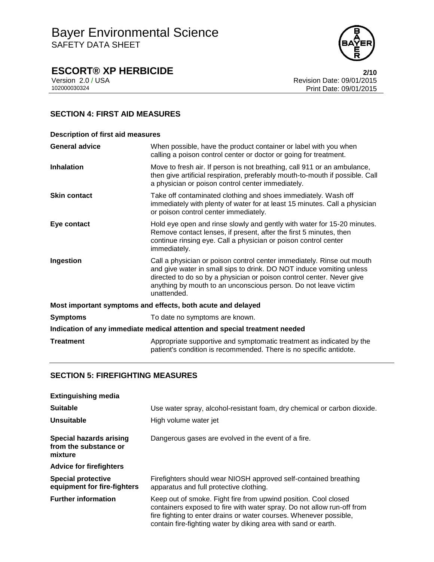

# **ESCORT® XP HERBICIDE**<br>Version 2.0 / USA **2/10**<br>Revision Date: 09/01/2015

Version 2.0 / USA Revision Date: 09/01/2015<br>102000030324<br>Print Date: 09/01/2015 Print Date: 09/01/2015

### **SECTION 4: FIRST AID MEASURES**

| <b>Description of first aid measures</b>                                   |                                                                                                                                                                                                                                                                                                           |  |
|----------------------------------------------------------------------------|-----------------------------------------------------------------------------------------------------------------------------------------------------------------------------------------------------------------------------------------------------------------------------------------------------------|--|
| <b>General advice</b>                                                      | When possible, have the product container or label with you when<br>calling a poison control center or doctor or going for treatment.                                                                                                                                                                     |  |
| <b>Inhalation</b>                                                          | Move to fresh air. If person is not breathing, call 911 or an ambulance,<br>then give artificial respiration, preferably mouth-to-mouth if possible. Call<br>a physician or poison control center immediately.                                                                                            |  |
| <b>Skin contact</b>                                                        | Take off contaminated clothing and shoes immediately. Wash off<br>immediately with plenty of water for at least 15 minutes. Call a physician<br>or poison control center immediately.                                                                                                                     |  |
| Eye contact                                                                | Hold eye open and rinse slowly and gently with water for 15-20 minutes.<br>Remove contact lenses, if present, after the first 5 minutes, then<br>continue rinsing eye. Call a physician or poison control center<br>immediately.                                                                          |  |
| Ingestion                                                                  | Call a physician or poison control center immediately. Rinse out mouth<br>and give water in small sips to drink. DO NOT induce vomiting unless<br>directed to do so by a physician or poison control center. Never give<br>anything by mouth to an unconscious person. Do not leave victim<br>unattended. |  |
| Most important symptoms and effects, both acute and delayed                |                                                                                                                                                                                                                                                                                                           |  |
| <b>Symptoms</b>                                                            | To date no symptoms are known.                                                                                                                                                                                                                                                                            |  |
| Indication of any immediate medical attention and special treatment needed |                                                                                                                                                                                                                                                                                                           |  |
| <b>Treatment</b>                                                           | Appropriate supportive and symptomatic treatment as indicated by the<br>patient's condition is recommended. There is no specific antidote.                                                                                                                                                                |  |

### **SECTION 5: FIREFIGHTING MEASURES**

| <b>Extinguishing media</b>                                  |                                                                                                                                                                                                                                                                                   |
|-------------------------------------------------------------|-----------------------------------------------------------------------------------------------------------------------------------------------------------------------------------------------------------------------------------------------------------------------------------|
| <b>Suitable</b>                                             | Use water spray, alcohol-resistant foam, dry chemical or carbon dioxide.                                                                                                                                                                                                          |
| Unsuitable                                                  | High volume water jet                                                                                                                                                                                                                                                             |
| Special hazards arising<br>from the substance or<br>mixture | Dangerous gases are evolved in the event of a fire.                                                                                                                                                                                                                               |
| <b>Advice for firefighters</b>                              |                                                                                                                                                                                                                                                                                   |
| <b>Special protective</b><br>equipment for fire-fighters    | Firefighters should wear NIOSH approved self-contained breathing<br>apparatus and full protective clothing.                                                                                                                                                                       |
| <b>Further information</b>                                  | Keep out of smoke. Fight fire from upwind position. Cool closed<br>containers exposed to fire with water spray. Do not allow run-off from<br>fire fighting to enter drains or water courses. Whenever possible,<br>contain fire-fighting water by diking area with sand or earth. |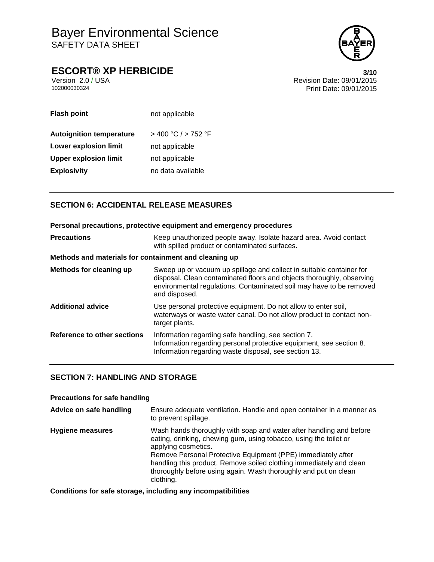

### **ESCORT® XP HERBICIDE 3/10**

Version 2.0 / USA Revision Date: 09/01/2015 102000030324 Print Date: 09/01/2015

| <b>Flash point</b>              | not applicable      |
|---------------------------------|---------------------|
| <b>Autoignition temperature</b> | > 400 °C / > 752 °F |
| <b>Lower explosion limit</b>    | not applicable      |
| <b>Upper explosion limit</b>    | not applicable      |
| <b>Explosivity</b>              | no data available   |

### **SECTION 6: ACCIDENTAL RELEASE MEASURES**

**Personal precautions, protective equipment and emergency procedures Precautions Keep unauthorized people away. Isolate hazard area. Avoid contact** with spilled product or contaminated surfaces. **Methods and materials for containment and cleaning up Methods for cleaning up** Sweep up or vacuum up spillage and collect in suitable container for disposal. Clean contaminated floors and objects thoroughly, observing environmental regulations. Contaminated soil may have to be removed and disposed. **Additional advice** Use personal protective equipment. Do not allow to enter soil, waterways or waste water canal. Do not allow product to contact nontarget plants. **Reference to other sections** Information regarding safe handling, see section 7. Information regarding personal protective equipment, see section 8. Information regarding waste disposal, see section 13.

### **SECTION 7: HANDLING AND STORAGE**

### **Precautions for safe handling**

| Advice on safe handling | Ensure adequate ventilation. Handle and open container in a manner as<br>to prevent spillage.                                                                                                                                                                                                                                                                                          |
|-------------------------|----------------------------------------------------------------------------------------------------------------------------------------------------------------------------------------------------------------------------------------------------------------------------------------------------------------------------------------------------------------------------------------|
| Hygiene measures        | Wash hands thoroughly with soap and water after handling and before<br>eating, drinking, chewing gum, using tobacco, using the toilet or<br>applying cosmetics.<br>Remove Personal Protective Equipment (PPE) immediately after<br>handling this product. Remove soiled clothing immediately and clean<br>thoroughly before using again. Wash thoroughly and put on clean<br>clothing. |

**Conditions for safe storage, including any incompatibilities**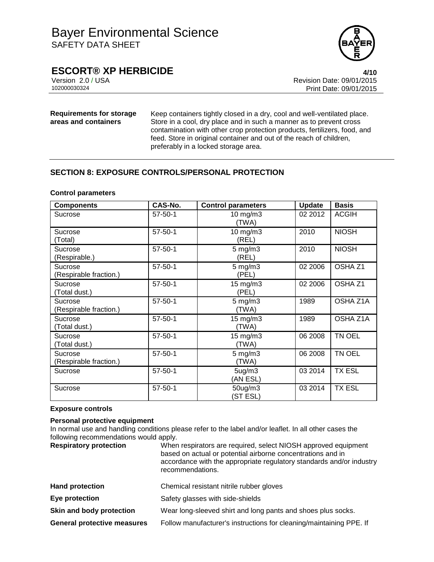

### **ESCORT® XP HERBICIDE 4/10**

Version 2.0 / USA Revision Date: 09/01/2015 Print Date: 09/01/2015

#### **Requirements for storage areas and containers**

Keep containers tightly closed in a dry, cool and well-ventilated place. Store in a cool, dry place and in such a manner as to prevent cross contamination with other crop protection products, fertilizers, food, and feed. Store in original container and out of the reach of children, preferably in a locked storage area.

### **SECTION 8: EXPOSURE CONTROLS/PERSONAL PROTECTION**

#### **Control parameters**

| <b>Components</b>                 | CAS-No.       | <b>Control parameters</b>    | <b>Update</b> | <b>Basis</b>       |
|-----------------------------------|---------------|------------------------------|---------------|--------------------|
| Sucrose                           | $57 - 50 - 1$ | $10$ mg/m $3$<br>(TWA)       | 02 2012       | <b>ACGIH</b>       |
| Sucrose<br>(Total)                | $57 - 50 - 1$ | $10$ mg/m $3$<br>(REL)       | 2010          | <b>NIOSH</b>       |
| Sucrose<br>(Respirable.)          | $57 - 50 - 1$ | $5 \text{ mg/m}$ 3<br>(REL)  | 2010          | <b>NIOSH</b>       |
| Sucrose<br>(Respirable fraction.) | $57 - 50 - 1$ | $5 \text{ mg/m}$ 3<br>(PEL)  | 02 2006       | OSHA <sub>Z1</sub> |
| Sucrose<br>(Total dust.)          | $57 - 50 - 1$ | $15$ mg/m $3$<br>(PEL)       | 02 2006       | OSHA <sub>Z1</sub> |
| Sucrose<br>(Respirable fraction.) | $57 - 50 - 1$ | $5 \text{ mg/m}$ 3<br>(TWA)  | 1989          | OSHA Z1A           |
| Sucrose<br>(Total dust.)          | $57 - 50 - 1$ | $15 \text{ mg/m}$ 3<br>(TWA) | 1989          | OSHA Z1A           |
| Sucrose<br>(Total dust.)          | $57 - 50 - 1$ | $15 \text{ mg/m}$<br>(TWA)   | 06 2008       | TN OEL             |
| Sucrose<br>(Respirable fraction.) | $57 - 50 - 1$ | $5 \text{ mg/m}$ 3<br>(TWA)  | 06 2008       | TN OEL             |
| Sucrose                           | $57 - 50 - 1$ | $5$ ug/m $3$<br>(AN ESL)     | 03 2014       | <b>TX ESL</b>      |
| Sucrose                           | $57 - 50 - 1$ | 50ug/m3<br>(ST ESL)          | 03 2014       | <b>TX ESL</b>      |

#### **Exposure controls**

### **Personal protective equipment**

In normal use and handling conditions please refer to the label and/or leaflet. In all other cases the following recommendations would apply.

| <b>Respiratory protection</b> | When respirators are required, select NIOSH approved equipment<br>based on actual or potential airborne concentrations and in<br>accordance with the appropriate regulatory standards and/or industry<br>recommendations. |
|-------------------------------|---------------------------------------------------------------------------------------------------------------------------------------------------------------------------------------------------------------------------|
|                               |                                                                                                                                                                                                                           |

| <b>Hand protection</b>             | Chemical resistant nitrile rubber gloves                            |
|------------------------------------|---------------------------------------------------------------------|
| Eye protection                     | Safety glasses with side-shields                                    |
| Skin and body protection           | Wear long-sleeved shirt and long pants and shoes plus socks.        |
| <b>General protective measures</b> | Follow manufacturer's instructions for cleaning/maintaining PPE. If |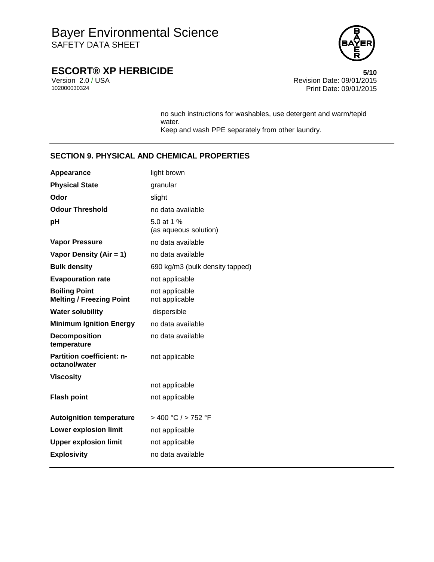

# **ESCORT® XP HERBICIDE**<br>Version 2.0/USA **6/10**<br>Revision Date: 09/01/2015

Version 2.0 / USA Revision Date: 09/01/2015<br>102000030324<br>Print Date: 09/01/2015 Print Date: 09/01/2015

> no such instructions for washables, use detergent and warm/tepid water. Keep and wash PPE separately from other laundry.

### **SECTION 9. PHYSICAL AND CHEMICAL PROPERTIES**

| Appearance                                              | light brown                         |
|---------------------------------------------------------|-------------------------------------|
| <b>Physical State</b>                                   | granular                            |
| Odor                                                    | slight                              |
| <b>Odour Threshold</b>                                  | no data available                   |
| рH                                                      | 5.0 at 1 %<br>(as aqueous solution) |
| <b>Vapor Pressure</b>                                   | no data available                   |
| Vapor Density (Air = 1)                                 | no data available                   |
| <b>Bulk density</b>                                     | 690 kg/m3 (bulk density tapped)     |
| <b>Evapouration rate</b>                                | not applicable                      |
| <b>Boiling Point</b><br><b>Melting / Freezing Point</b> | not applicable<br>not applicable    |
| <b>Water solubility</b>                                 | dispersible                         |
| <b>Minimum Ignition Energy</b>                          | no data available                   |
| <b>Decomposition</b><br>temperature                     | no data available                   |
| <b>Partition coefficient: n-</b><br>octanol/water       | not applicable                      |
| <b>Viscosity</b>                                        |                                     |
|                                                         | not applicable                      |
| <b>Flash point</b>                                      | not applicable                      |
| <b>Autoignition temperature</b>                         | > 400 °C / > 752 °F                 |
| <b>Lower explosion limit</b>                            | not applicable                      |
| <b>Upper explosion limit</b>                            | not applicable                      |
| <b>Explosivity</b>                                      | no data available                   |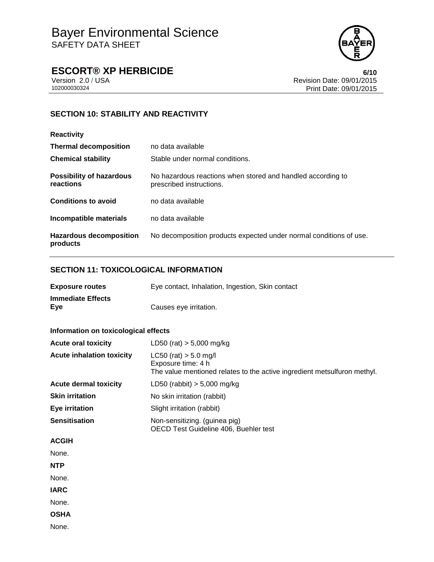

### **ESCORT® XP HERBICIDE 6/10**

Version 2.0 / USA Revision Date: 09/01/2015<br>102000030324<br>Print Date: 09/01/2015 Print Date: 09/01/2015

### **SECTION 10: STABILITY AND REACTIVITY**

| <b>Reactivity</b>                            |                                                                                         |
|----------------------------------------------|-----------------------------------------------------------------------------------------|
| <b>Thermal decomposition</b>                 | no data available                                                                       |
| <b>Chemical stability</b>                    | Stable under normal conditions.                                                         |
| <b>Possibility of hazardous</b><br>reactions | No hazardous reactions when stored and handled according to<br>prescribed instructions. |
| <b>Conditions to avoid</b>                   | no data available                                                                       |
| Incompatible materials                       | no data available                                                                       |
| <b>Hazardous decomposition</b><br>products   | No decomposition products expected under normal conditions of use.                      |

### **SECTION 11: TOXICOLOGICAL INFORMATION**

| <b>Exposure routes</b>          | Eye contact, Inhalation, Ingestion, Skin contact |
|---------------------------------|--------------------------------------------------|
| <b>Immediate Effects</b><br>Eye | Causes eye irritation.                           |

### **Information on toxicological effects**

| <b>Acute oral toxicity</b>       | LD50 (rat) $> 5,000$ mg/kg                                                                                                  |
|----------------------------------|-----------------------------------------------------------------------------------------------------------------------------|
| <b>Acute inhalation toxicity</b> | $LC50$ (rat) $> 5.0$ mg/l<br>Exposure time: 4 h<br>The value mentioned relates to the active ingredient metsulfuron methyl. |
| <b>Acute dermal toxicity</b>     | LD50 (rabbit) $> 5,000$ mg/kg                                                                                               |
| <b>Skin irritation</b>           | No skin irritation (rabbit)                                                                                                 |
| Eye irritation                   | Slight irritation (rabbit)                                                                                                  |
| <b>Sensitisation</b>             | Non-sensitizing. (guinea pig)<br>OECD Test Guideline 406, Buehler test                                                      |
| <b>ACGIH</b>                     |                                                                                                                             |
| None.                            |                                                                                                                             |

**NTP**

None.

**IARC**

None.

**OSHA**

None.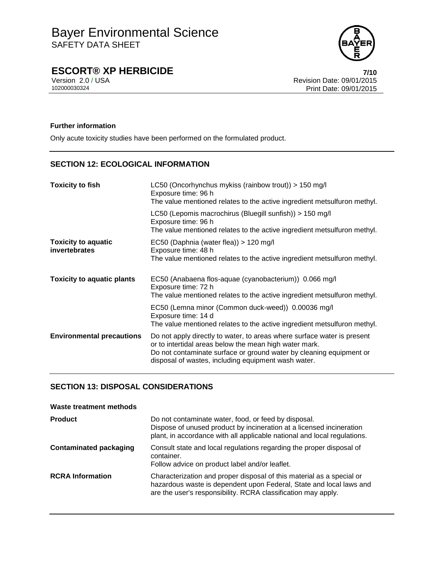

### **ESCORT® XP HERBICIDE 7/10**

Version 2.0 / USA Revision Date: 09/01/2015<br>102000030324<br>Print Date: 09/01/2015 Print Date: 09/01/2015

#### **Further information**

Only acute toxicity studies have been performed on the formulated product.

### **SECTION 12: ECOLOGICAL INFORMATION**

| <b>Toxicity to fish</b>                            | LC50 (Oncorhynchus mykiss (rainbow trout)) > 150 mg/l<br>Exposure time: 96 h<br>The value mentioned relates to the active ingredient metsulfuron methyl.                                                                                                        |
|----------------------------------------------------|-----------------------------------------------------------------------------------------------------------------------------------------------------------------------------------------------------------------------------------------------------------------|
|                                                    | LC50 (Lepomis macrochirus (Bluegill sunfish)) > 150 mg/l<br>Exposure time: 96 h<br>The value mentioned relates to the active ingredient metsulfuron methyl.                                                                                                     |
| <b>Toxicity to aquatic</b><br><b>invertebrates</b> | EC50 (Daphnia (water flea)) > 120 mg/l<br>Exposure time: 48 h<br>The value mentioned relates to the active ingredient metsulfuron methyl.                                                                                                                       |
| <b>Toxicity to aquatic plants</b>                  | EC50 (Anabaena flos-aquae (cyanobacterium)) 0.066 mg/l<br>Exposure time: 72 h<br>The value mentioned relates to the active ingredient metsulfuron methyl.                                                                                                       |
|                                                    | EC50 (Lemna minor (Common duck-weed)) 0.00036 mg/l<br>Exposure time: 14 d<br>The value mentioned relates to the active ingredient metsulfuron methyl.                                                                                                           |
| <b>Environmental precautions</b>                   | Do not apply directly to water, to areas where surface water is present<br>or to intertidal areas below the mean high water mark.<br>Do not contaminate surface or ground water by cleaning equipment or<br>disposal of wastes, including equipment wash water. |

### **SECTION 13: DISPOSAL CONSIDERATIONS**

| Waste treatment methods       |                                                                                                                                                                                                               |
|-------------------------------|---------------------------------------------------------------------------------------------------------------------------------------------------------------------------------------------------------------|
| <b>Product</b>                | Do not contaminate water, food, or feed by disposal.<br>Dispose of unused product by incineration at a licensed incineration<br>plant, in accordance with all applicable national and local regulations.      |
| <b>Contaminated packaging</b> | Consult state and local regulations regarding the proper disposal of<br>container.<br>Follow advice on product label and/or leaflet.                                                                          |
| <b>RCRA</b> Information       | Characterization and proper disposal of this material as a special or<br>hazardous waste is dependent upon Federal, State and local laws and<br>are the user's responsibility. RCRA classification may apply. |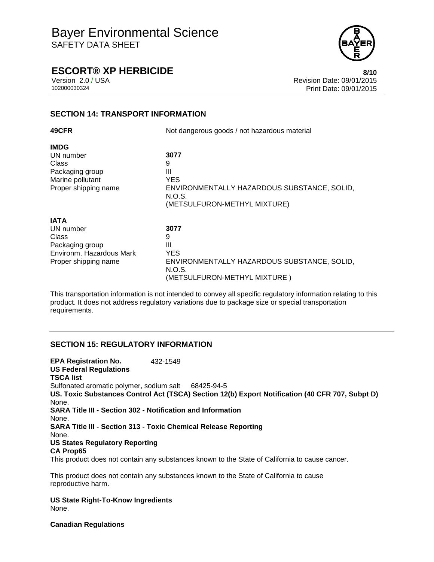

### **ESCORT® XP HERBICIDE 8/10**

Version 2.0 / USA Revision Date: 09/01/2015 102000030324 Print Date: 09/01/2015

### **SECTION 14: TRANSPORT INFORMATION**

| 49CFR                                                                                                    | Not dangerous goods / not hazardous material                                                                          |
|----------------------------------------------------------------------------------------------------------|-----------------------------------------------------------------------------------------------------------------------|
| <b>IMDG</b><br>UN number<br>Class<br>Packaging group<br>Marine pollutant<br>Proper shipping name         | 3077<br>9<br>Ш<br><b>YES</b><br>ENVIRONMENTALLY HAZARDOUS SUBSTANCE, SOLID,<br>N.O.S.<br>(METSULFURON-METHYL MIXTURE) |
| <b>IATA</b><br>UN number<br>Class<br>Packaging group<br>Environm. Hazardous Mark<br>Proper shipping name | 3077<br>9<br>Ш<br><b>YES</b><br>ENVIRONMENTALLY HAZARDOUS SUBSTANCE, SOLID,<br>N.O.S.<br>(METSULFURON-METHYL MIXTURE) |

This transportation information is not intended to convey all specific regulatory information relating to this product. It does not address regulatory variations due to package size or special transportation requirements.

### **SECTION 15: REGULATORY INFORMATION**

**EPA Registration No.** 432-1549 **US Federal Regulations TSCA list** Sulfonated aromatic polymer, sodium salt 68425-94-5 **US. Toxic Substances Control Act (TSCA) Section 12(b) Export Notification (40 CFR 707, Subpt D)** None. **SARA Title III - Section 302 - Notification and Information** None. **SARA Title III - Section 313 - Toxic Chemical Release Reporting** None. **US States Regulatory Reporting CA Prop65** This product does not contain any substances known to the State of California to cause cancer.

This product does not contain any substances known to the State of California to cause reproductive harm.

**US State Right-To-Know Ingredients** None.

**Canadian Regulations**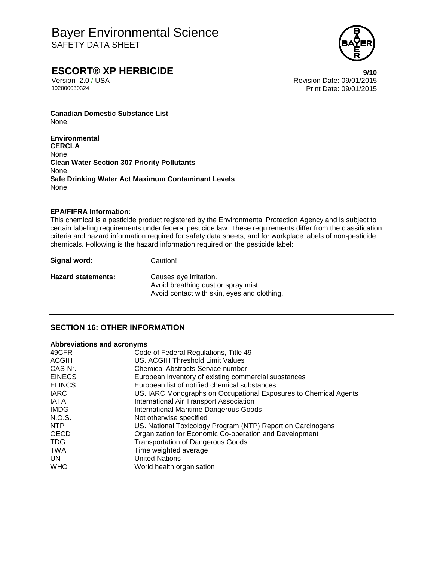

### **ESCORT® XP HERBICIDE 9/10**

Version 2.0 / USA Revision Date: 09/01/2015 Print Date: 09/01/2015

**Canadian Domestic Substance List** None.

**Environmental CERCLA** None. **Clean Water Section 307 Priority Pollutants** None. **Safe Drinking Water Act Maximum Contaminant Levels** None.

#### **EPA/FIFRA Information:**

This chemical is a pesticide product registered by the Environmental Protection Agency and is subject to certain labeling requirements under federal pesticide law. These requirements differ from the classification criteria and hazard information required for safety data sheets, and for workplace labels of non-pesticide chemicals. Following is the hazard information required on the pesticide label:

**Signal word:** Caution!

**Hazard statements:** Causes eye irritation.

Avoid breathing dust or spray mist. Avoid contact with skin, eyes and clothing.

### **SECTION 16: OTHER INFORMATION**

#### **Abbreviations and acronyms**

| 49CFR         | Code of Federal Regulations, Title 49                            |
|---------------|------------------------------------------------------------------|
| <b>ACGIH</b>  | US. ACGIH Threshold Limit Values                                 |
| CAS-Nr.       | <b>Chemical Abstracts Service number</b>                         |
| <b>EINECS</b> | European inventory of existing commercial substances             |
| <b>ELINCS</b> | European list of notified chemical substances                    |
| <b>IARC</b>   | US. IARC Monographs on Occupational Exposures to Chemical Agents |
| <b>IATA</b>   | International Air Transport Association                          |
| <b>IMDG</b>   | <b>International Maritime Dangerous Goods</b>                    |
| N.O.S.        | Not otherwise specified                                          |
| NTP           | US. National Toxicology Program (NTP) Report on Carcinogens      |
| <b>OECD</b>   | Organization for Economic Co-operation and Development           |
| <b>TDG</b>    | <b>Transportation of Dangerous Goods</b>                         |
| <b>TWA</b>    | Time weighted average                                            |
| UN.           | <b>United Nations</b>                                            |
| <b>WHO</b>    | World health organisation                                        |